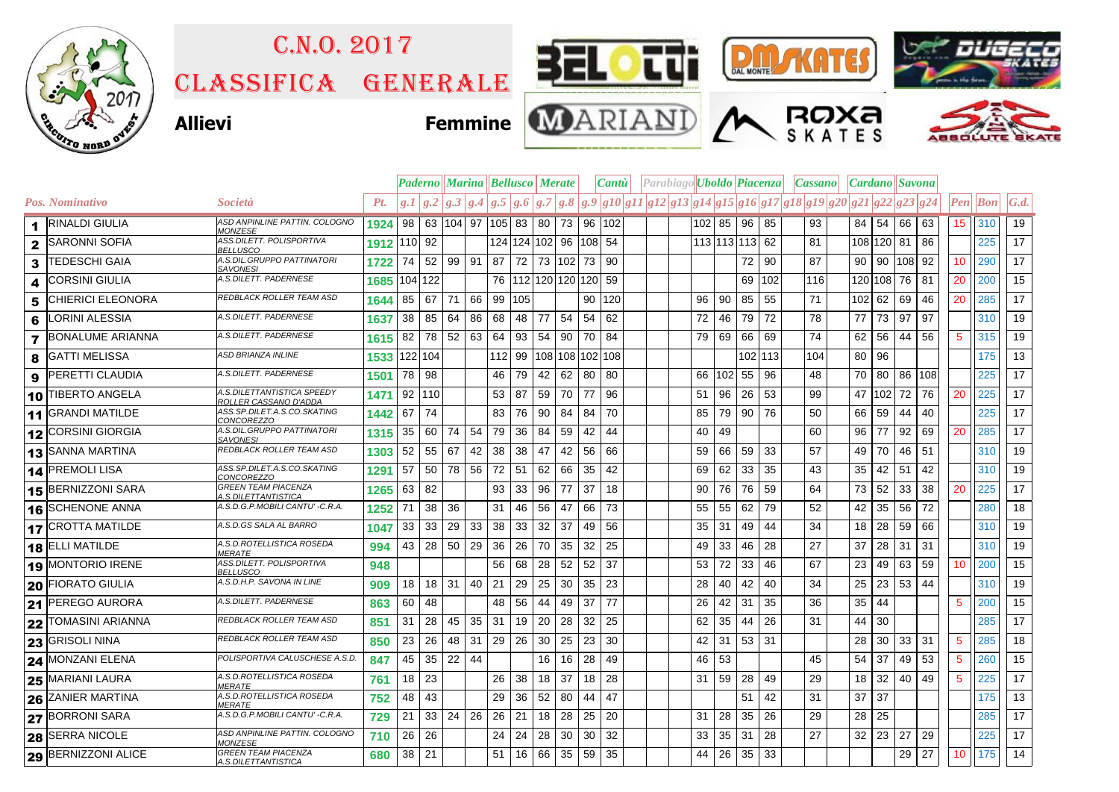

## Classifica generale C.n.o. 2017



M





## **Allievi Femmine**







|                      |                                         |                                                     | <b>Paderno    Marina    Bellusco    Merate</b> |         |    |              |    |         | Cantu        |                                      | $\left $ Parabiago $\left $ Uboldo $\left $ Piacenza |    |                                                                                                    | <i>Cassano</i> |                | <i>Cardano</i> Savona |         |     |  |                 |    |              |           |                 |                          |              |
|----------------------|-----------------------------------------|-----------------------------------------------------|------------------------------------------------|---------|----|--------------|----|---------|--------------|--------------------------------------|------------------------------------------------------|----|----------------------------------------------------------------------------------------------------|----------------|----------------|-----------------------|---------|-----|--|-----------------|----|--------------|-----------|-----------------|--------------------------|--------------|
|                      | Pos. Nominativo                         | Società                                             | Pt.                                            |         |    |              |    |         |              |                                      |                                                      |    | $g.1 g.2 g.3 g.4 g.5 g.6 g.7 g.8 g.9 g10 g11 g12 g13 g14 g15 g16 g17 g18 g19 g20 g21 g22 g23 g24 $ |                |                |                       |         |     |  |                 |    |              |           |                 | $\left  Pen \right $ Bon | $\vert G.d.$ |
| $\blacktriangleleft$ | <b>RINALDI GIULIA</b>                   | ASD ANPINLINE PATTIN. COLOGNO<br>MONZESE            | 1924   98   63   104   97   105   83   80   73 |         |    |              |    |         |              |                                      |                                                      | 96 | 102                                                                                                |                | $102$ 85 96    |                       | 85      | 93  |  |                 |    | 84 54 66     | 63        | 15              | 310                      | 19           |
| $\mathbf{2}$         | <b>SARONNI SOFIA</b>                    | ASS.DILETT. POLISPORTIVA<br>BELLUSCO                | 1912 110 92                                    |         |    |              |    |         |              | 124 124 102 96 108 54                |                                                      |    |                                                                                                    |                | 113 113 113 62 |                       |         | 81  |  | 108 120 81      |    |              | 86        |                 | 225                      | 17           |
| 3                    | <b>TEDESCHI GAIA</b>                    | A.S.DIL.GRUPPO PATTINATORI<br><b>SAVONESI</b>       | 1722                                           | 74      | 52 | 99 91        |    |         |              | 87   72   73   102   73              |                                                      |    | 90                                                                                                 |                |                | 72                    | 90      | 87  |  | 90 90 108       |    |              | 92        | 10              | 290                      | 17           |
| 4                    | <b>CORSINI GIULIA</b>                   | A.S.DILETT. PADERNESE                               | 1685 104 122                                   |         |    |              |    |         |              | 76   112   120   120   120   59      |                                                      |    |                                                                                                    |                |                | 69                    | 102     | 116 |  | 120 108 76      |    |              | 81        | 20              | 200                      | 15           |
| 5                    | <b>CHIERICI ELEONORA</b>                | REDBLACK ROLLER TEAM ASD                            | 1644                                           | 85      | 67 | 71           | 66 |         | 99 105       |                                      |                                                      | 90 | 120                                                                                                | 96             | 90             | 85                    | 55      | 71  |  | 102 62          |    | 69           | 46        | 20              | 285                      | 17           |
| 6                    | <b>LORINI ALESSIA</b>                   | A.S.DILETT. PADERNESE                               | 1637                                           | 38      | 85 | 64           | 86 |         | 68 48        | 77                                   | 54                                                   | 54 | 62                                                                                                 | 72             |                | 46 79                 | 72      | 78  |  | 77              | 73 | 97           | 97        |                 | 310                      | 19           |
| $\overline{7}$       | <b>BONALUME ARIANNA</b>                 | A.S.DILETT. PADERNESE                               | 1615                                           | 82      |    | 78 52 63     |    | 64      | 93           | 54                                   | 90                                                   | 70 | -84                                                                                                | 79             | 69 l           | 66                    | 69      | 74  |  | 62              | 56 | 44           | 56        | $5\overline{5}$ | 315                      | 19           |
| 8                    | <b>GATTI MELISSA</b>                    | ASD BRIANZA INLINE                                  | 1533 122 104                                   |         |    |              |    |         |              |                                      |                                                      |    | 112 99 108 108 102 108                                                                             |                |                |                       | 102 113 | 104 |  | 80 96           |    |              |           |                 | 175                      | 13           |
| 9                    | PERETTI CLAUDIA                         | A.S.DILETT. PADERNESE                               | 1501                                           | 78 98   |    |              |    | 46      | 79           | 42                                   | 62                                                   | 80 | 80                                                                                                 | 66             | $102$ 55       |                       | 96      | 48  |  | 70              |    |              | 80 86 108 |                 | 225                      | 17           |
|                      | 10 TIBERTO ANGELA                       | A.S.DILETTANTISTICA SPEEDY<br>ROLLER CASSANO D'ADDA | 1471                                           | 92 110  |    |              |    |         | 53 87        | 59                                   | 70                                                   | 77 | 96                                                                                                 | 51             | 96 26          |                       | 53      | 99  |  | 47 102 72       |    |              | 76        | 20              | 225                      | 17           |
|                      | 11 GRANDI MATILDE                       | ASS.SP.DILET.A.S.CO.SKATING<br><u>CONCOREZZO</u>    | 1442                                           | 67      | 74 |              |    | 83      | 76           | 90                                   | 84                                                   | 84 | 70                                                                                                 | 85             |                | 79 90                 | 76      | 50  |  | 66              | 59 | 44           | 40        |                 | 225                      | 17           |
|                      | 12 CORSINI GIORGIA                      | A.S.DIL.GRUPPO PATTINATORI<br><b>SAVONESI</b>       | 1315                                           | 35      | 60 | 74           | 54 | 79      | 36           | 84                                   | 59                                                   | 42 | 44                                                                                                 | 40             | 49             |                       |         | 60  |  | 96              | 77 | 92           | 69        | 20              | 285                      | 17           |
|                      | 13 SANNA MARTINA                        | REDBLACK ROLLER TEAM ASD                            | 1303                                           | 52      | 55 | 67           | 42 | 38      | 38           | 47                                   | 42                                                   | 56 | 66                                                                                                 | 59             |                | 66 59                 | 33      | 57  |  | 49 70           |    | 46           | 51        |                 | 310                      | 19           |
|                      | 14 PREMOLI LISA                         | ASS.SP.DILET.A.S.CO.SKATING<br>CONCOREZZO           | 1291                                           | 57      |    | 50 78        | 56 | 72 51   |              | 62                                   | 66                                                   | 35 | 42                                                                                                 | 69             | 62             | 33                    | 35      | 43  |  | 35              | 42 | 51           | 42        |                 | 310                      | 19           |
|                      | 15 BERNIZZONI SARA                      | GREEN TEAM PIACENZA<br>1 <i>.S.DILETTANTISTICA</i>  | 1265                                           | 63      | 82 |              |    | 93      | 33           | 96                                   | 77                                                   | 37 | 18                                                                                                 | 90             |                | 76 76                 | 59      | 64  |  | 73              | 52 | 33           | 38        | 20              | 225                      | 17           |
|                      | 16 SCHENONE ANNA                        | A.S.D.G.P.MOBILI CANTU' -C.R.A.                     | 1252                                           | 71      | 38 | 36           |    | 31      | 46           | 56                                   | 47                                                   | 66 | -73                                                                                                | 55             | 55             | 62                    | 79      | 52  |  | 42              | 35 | 56           | 72        |                 | 280                      | 18           |
|                      | 17 CROTTA MATILDE                       | A.S.D.GS SALA AL BARRO                              | 1047                                           | 33      | 33 | 29           | 33 |         | 38 33        | 32                                   | 37                                                   | 49 | 56                                                                                                 | 35             | 31             | 49                    | 44      | 34  |  | 18              | 28 | 59           | 66        |                 | 310                      | 19           |
|                      | 18 ELLI MATILDE                         | A.S.D.ROTELLISTICA ROSEDA<br>MERATE                 | 994                                            | 43      |    | 28 50        | 29 |         | $36 \mid 26$ | 70                                   | 35                                                   | 32 | 25                                                                                                 | 49             | 33             | 46                    | 28      | 27  |  | 37              | 28 | 31           | 31        |                 | 310                      | 19           |
|                      | 19 MONTORIO IRENE                       | ASS.DILETT. POLISPORTIVA<br><b>BELLUSCO</b>         | 948                                            |         |    |              |    | 56      | 68           | 28                                   | 52                                                   | 52 | 37                                                                                                 | 53             | 72             | 33                    | 46      | 67  |  | 23              | 49 | 63           | 59        | 10              | 200                      | 15           |
|                      | <b>20 FIORATO GIULIA</b>                | A.S.D.H.P. SAVONA IN LINE                           | 909                                            | 18      |    | $18$ 31 40   |    | 21      | 29           | 25                                   | 30                                                   | 35 | 23                                                                                                 | 28             |                | 40 42                 | 40      | 34  |  | 25              |    | $23 \mid 53$ | 44        |                 | 310                      | 19           |
|                      | 21 PEREGO AURORA                        | A.S.DILETT. PADERNESE                               | 863                                            | 60      | 48 |              |    |         | 48 56        | 44                                   | 49                                                   | 37 | 77                                                                                                 | 26             | 42 31          |                       | 35      | 36  |  | 35              | 44 |              |           | $5\overline{5}$ | 200                      | 15           |
|                      | <b>22 TOMASINI ARIANNA</b>              | REDBLACK ROLLER TEAM ASD                            | 851                                            | 31      | 28 | 45           | 35 | 31      | 19           | 20                                   | 28                                                   | 32 | 25                                                                                                 | 62             | $35 \mid 44$   |                       | 26      | 31  |  | 44              | 30 |              |           |                 | 285                      | 17           |
|                      | 23 GRISOLI NINA                         | REDBLACK ROLLER TEAM ASD                            | 850                                            | 23      | 26 | 48           | 31 |         | 29 26        | 30                                   | 25                                                   | 23 | 30                                                                                                 | 42             |                | $31 \mid 53$          | 31      |     |  | 28              | 30 | 33           | 31        | $5\phantom{.0}$ | 285                      | 18           |
|                      | 24 MONZANI ELENA                        | POLISPORTIVA CALUSCHESE A.S.D.                      | 847                                            | 45      | 35 | 22           | 44 |         |              | 16                                   | 16                                                   | 28 | 49                                                                                                 | 46             | 53             |                       |         | 45  |  | 54              | 37 | 49           | 53        | -5              | 260                      | 15           |
|                      | 25 MARIANI LAURA                        | A.S.D.ROTELLISTICA ROSEDA<br><b>MERATE</b>          | 761                                            | 18      | 23 |              |    |         | 26 38        | 18                                   | 37                                                   | 18 | 28                                                                                                 | 31             | $59$ 28        |                       | 49      | 29  |  | 18 <sup>1</sup> | 32 | 40           | 49        | $5\overline{5}$ | 225                      | 17           |
|                      | $\overline{\textbf{26}}$ ZANIER MARTINA | A.S.D.ROTELLISTICA ROSEDA<br><i>MERATE</i>          | 752                                            | 48      | 43 |              |    | 29      | 36           | 52                                   | 80                                                   | 44 | 47                                                                                                 |                |                | 51                    | 42      | 31  |  | 37              | 37 |              |           |                 | 175                      | 13           |
|                      | <b>27 BORRONI SARA</b>                  | A.S.D.G.P.MOBILI CANTU' -C.R.A.                     | 729                                            | 21      |    | $33 \mid 24$ | 26 | $26$ 21 |              | 18                                   | 28                                                   | 25 | -20                                                                                                | 31             | 28 35          |                       | 26      | 29  |  | 28 25           |    |              |           |                 | 285                      | 17           |
|                      | 28 SERRA NICOLE                         | ASD ANPINLINE PATTIN. COLOGNO<br><b>MONZESE</b>     | 710                                            | 26      | 26 |              |    | 24      | 24           | 28                                   | 30                                                   | 30 | 32                                                                                                 | 33             | $35 \mid 31$   |                       | 28      | 27  |  | 32 23           |    | 27           | 29        |                 | 225                      | 17           |
|                      | 29 BERNIZZONI ALICE                     | <b>GREEN TEAM PIACENZA</b><br>A.S.DILETTANTISTICA   | 680                                            | $38$ 21 |    |              |    |         |              | $51 \mid 16 \mid 66 \mid 35 \mid 59$ |                                                      |    | -35                                                                                                | 44             |                | $26 \mid 35$          | 33      |     |  |                 |    | 29           | 27        | 10              | 175                      | 14           |